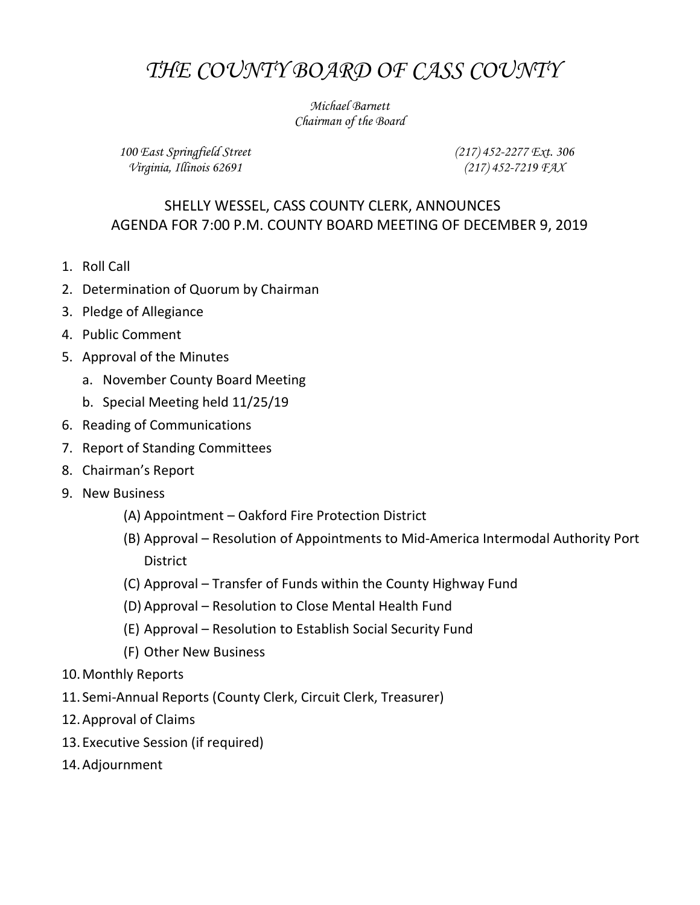## THE COUNTY BOARD OF CASS COUNTY

Michael Barnett Chairman of the Board

100 East Springfield Street Virginia, Illinois 62691

(217) 452-2277 Ext. 306 (217) 452-7219 FAX

## SHELLY WESSEL, CASS COUNTY CLERK, ANNOUNCES AGENDA FOR 7:00 P.M. COUNTY BOARD MEETING OF DECEMBER 9, 2019

- 1. Roll Call
- 2. Determination of Quorum by Chairman
- 3. Pledge of Allegiance
- 4. Public Comment
- 5. Approval of the Minutes
	- a. November County Board Meeting
	- b. Special Meeting held 11/25/19
- 6. Reading of Communications
- 7. Report of Standing Committees
- 8. Chairman's Report
- 9. New Business
	- (A) Appointment Oakford Fire Protection District
	- (B) Approval Resolution of Appointments to Mid-America Intermodal Authority Port **District**
	- (C) Approval Transfer of Funds within the County Highway Fund
	- (D) Approval Resolution to Close Mental Health Fund
	- (E) Approval Resolution to Establish Social Security Fund
	- (F) Other New Business
- 10.Monthly Reports
- 11. Semi-Annual Reports (County Clerk, Circuit Clerk, Treasurer)
- 12.Approval of Claims
- 13. Executive Session (if required)
- 14.Adjournment